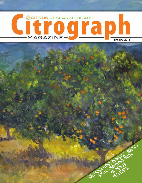

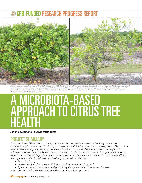## -FUNDED RESEARCH PROGRESS REPORT



Figure 1: Jackson grapefruit trees differentially impacted by HLB. The tree to the left (A) looks healthier than the tree to the right (B). The trees are genetically identical and of the same age, so it may be suggested that one of several factors accounting for the different appearances of these trees is that a beneficial *microbiota is protecting tree 'A' from CLas-induced symptoms, whereas tree 'B' is succumbing to CLas. Pictures were taken at the USDA Fort Pierce research station in Florida* (P.E Rolshausen photos).

# A MICROBIOTA-BASED APPROACH TO CITRUS TREE HEALTH

*Johan Leveau and Philippe Rolshausen*

#### PROJECT SUMMARY

*The goal of this CRB-funded research project is to describe, by DNA-based technology, the microbial communities (also known as microbiota) that associate with healthy and huanglongbing (HLB)-affected citrus trees from different plant tissues, geographical locations and under different management regimes. We will be mining this database for correlations between microbiota and metadata to incorporate into models, experiments and possibly products aimed at increased HLB tolerance, earlier diagnosis and/or more efficient management. In this first of a series of articles, we provide a primer on:*

- *plant microbiota,*
- *complex relationships between HLB and the citrus tree microbiota, and*
- *objectives, expected outcomes and preliminary first-year results of our research project.*
- *In subsequent articles, we will provide updates on the project's progress.*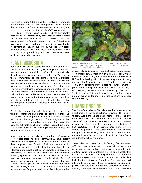HLB is one of the most destructive diseases of citrus worldwide. In the United States, it results from phloem colonization by the bacterium '*Candidatus* Liberibacter asiaticus' (CLas) and is vectored by the Asian citrus psyllid (ACP) *Diaphorina citri.* Since its discovery in Florida in 2005, HLB has significantly impacted the economic vitality of the Florida citrus industry and quickly spread to the western U.S. and Mexico. No costeffective methods for early detection or cure of the disease have been discovered yet, and this remains a major hurdle in combatting HLB. In our project, we use DNA-based methodology to establish principles of how trees impacted by HLB may be recognized early, and possibly remedied, based on their associated microbiota.

### PLANT MICROBIOTA

Plants and trees are not sterile: they host large and diverse communities of microscopically small organisms (bacteria, fungi and viruses) on (epiphytically) and in (endophytically) their leaves, stems, roots and other tissues. We refer to these communities as the plant-associated microbiota, plant microbiome or phytobiome. The most familiar and best-studied representatives of these communities are the pathogens, i.e., microorganisms such as CLas that have evolved to infect their host, impede normal plant functioning and cause disease. Other members of the plant microbiota include those that are beneficial to their host, for example, root-associated mycorrhizal fungi that sequester phosphate from the soil and share it with their host, or rhizobacteria that fix atmospheric nitrogen or stimulate plant defenses against pathogens.

Despite their potential to seriously impact plant health and function, pathogens and beneficials combined make up a relatively small proportion of a typical plant-associated microbiota. The large majority of microorganisms that colonize plants is composed of commensals. They exploit the plant as a substrate (as a habitat to attach to and thrive in and as a source of nutrients), but in doing so are not demonstrably harmful or helpful to the plant.

New technologies, especially those based on DNA profiling of host-associated microbial communities, have greatly facilitated the analysis of plant microbiota in terms of their composition and function. Such analyses are rapidly accumulating in the scientific literature and have led to interesting and novel insights. For example, it is becoming increasingly clear that the host plant plays an active role in selecting specific microbes from soil or air to colonize its roots, leaves or other plant parts. Another driving factor of plant microbiota composition is the environment, either as a source of microorganisms (e.g. soil and air) or as a modifier of microbial activity, whether it is natural (rain, temperature) or human-imposed (irrigation, fertilization). Possibly yet another



*Figure 2. Symptoms of HLB on Jackson grapefruit showing characteristic blotchy mottle leaves. Pictures were taken at the USDA Fort Pierce research station in Florida* (P.E Rolshausen photo)*.* 

driver of plant microbial community structure is plant disease, or in broader terms, infection with a plant pathogen. We are interested in exploiting this phenomenon in the context of HLB and to develop microbiota-based diagnostics for early (pre-symptom) detection of CLas. Also, because microbial community structure may impact the establishment of pathogens in or on plants to the point that disease is delayed or prevented, we are interested in knowing what such a 'protective' microbiota would look like and use it as a major point of departure for finding practical solutions to manage HLB (**Figure 1A**).

#### HUANGLONGBING

The '*Candidatus'* label of CLas identifies this bacterium as an unculturable or 'yet-to-be-cultured' organism. The inability to grow CLas in the lab has greatly hampered the conclusive demonstration by classical methods that CLas is the causative agent of HLB. However, consistent association between disease symptoms and CLas presence (so-called Koch's first postulate) has been demonstrated using different culture-independent, DNA-based methods. For example, metagenomic sequencing exposed CLas to be the most abundant bacterial species in phloem tissue from Florida citrus trees with HLB symptoms.

The HLB disease cycle starts with the feeding of a CLas-infected ACP on young citrus leaves, thus introducing CLas into the phloem of the tree. The bacterium also may be introduced by graft inoculation of CLas-infected material onto a healthy tree. CLas resides and replicates in the phloem, and moves through the vascular system site of infection to other parts of the plant, including the root system. From there, CLas may move back into the foliage, where it becomes available for pick-up by psyllids and spread to another tree. Characteristic of HLB is the long latency period between the time of infection and the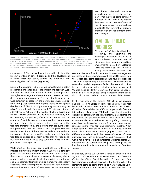

*Figure 3. Principle Coordinate Analysis (PCoA) plot showing the differences in microbial community composition among leaf surface samples from Lisbon citrus trees grown in the Contained Research Facility (CRF) at UC Davis. Each data point represents a sample, and the closer two points are to each other, the more similar their microbial community composition is. The data points are colored by the inoculation status*  of the tree from which the samples came: blue is uninoculated, red is CLas-inoculated (by graft). Data and figure are courtesy of Nilesh Maharaj (Leveau lab).

appearance of CLas-induced symptoms, which include the blotchy mottling of leaves (**Figure 2**) and the development of small, misshapen poorly-colored and bitter fruit and eventually, death of the tree (**Figure 1B**).

Much of the ongoing HLB research is aimed toward a better mechanistic understanding of the interactions between CLas, ACP and the citrus tree, in order to come up with practical strategies to manage the disease through prevention, early detection and/or intervention. The current gold standard for CLas detection is based on the polymerase chain reaction (PCR) using CLas-specific primer pairs. However, the spotty distribution of CLas in a single tree may make it easy to miss CLas, resulting in false-negative PCR outcomes. Several alternatives to PCR are in the works, which are based not on the (direct) detection of the bacterial pathogen, but on measuring the (indirect) effects of CLas on its host. For example, CLas infection of citrus trees has been shown to induce changes in the genes that are expressed in the tree (the transcriptome), the proteins that are synthesized (the proteome), and the chemicals that are produced (the metabolome). Some of these alternative detection methods, for example, those that quantify volatiles emitted from the tree foliage, appear to perform better than the traditional PCR-based method because they suffer much less from the problem of false-negatives.

While most of the citrus tree microbiota are unlikely to interact directly with phloem-limited CLas, we can definitely predict the existence of indirect interactions. As an example, the microbial community structure on or in plants may alter in response to the changes in the plant transcriptome, proteome and metabolome after initial infection. Some evidence already exists for a change in composition and function in the microbial communities on roots of CLas-infected versus uninfected

trees. A descriptive and quantitative appreciation for these interactions may reveal new and complementary methods of not only early disease detection, but also the identification of specific members of the leaf and root microbiota that prevent or mitigate infection with or establishment of the HLB pathogen.

#### YEAR ONE PROJECT PROGRESS

We are using DNA-based methodology to survey the epiphytic and endophytic microbiota that associate with the leaves, roots and stems of citrus trees from greenhouse and field environments located in California, Texas and Florida. Specifically, we are mining the variation in those microbial

communities as a function of time, location, management practices and disease symptoms, with the goal to extract from these data consistent associations that have practical use. This effort is generating a database that will be minable by researchers and citrus growers for links between microbiota, tree and environment in the context of orchard management. We also hope to identify organisms that could be used as biomarkers for HLB diagnosis and potential biocontrol agents that could be used to deter the establishment of the disease.

In the first year of the project (2014-2015), we received and processed hundreds of citrus tree samples (leaf, root, budwood). Of these, 100+ samples came from the UC Davis Contained Research Facility (CRF), more specifically, from the tail end of a collaborative, CRB-funded experiment aimed at detecting alterations in the transcriptome, metabolome and microbiome of greenhouse-grown citrus trees that were experimentally inoculated with CLas by grafting. Preliminary analysis of the data on bacteria and fungi from these samples revealed several important and interesting insights. A key observation was that the microbiota of HLB-inoculated and uninoculated trees were different (**Figure 3**) and that this difference correlated with the presence/absence of single microbial taxa such as *Burkholderia* and *Aspergillus*, which would make very promising candidates as biomarkers for Clas infection. We are currently verifying these findings and will link them to microbial data that will be collected from field samples.

In addition, about 200 California samples originated from AgOps at UC Riverside, the Lindcove Research and Extension Center, the Citrus Clonal Protection Program and from two commercial orchards located in the Central Valley. The remaining samples came from Texas A&M Kingsville Citrus Center, Paramount Citrus orchards in Texas and the USDA